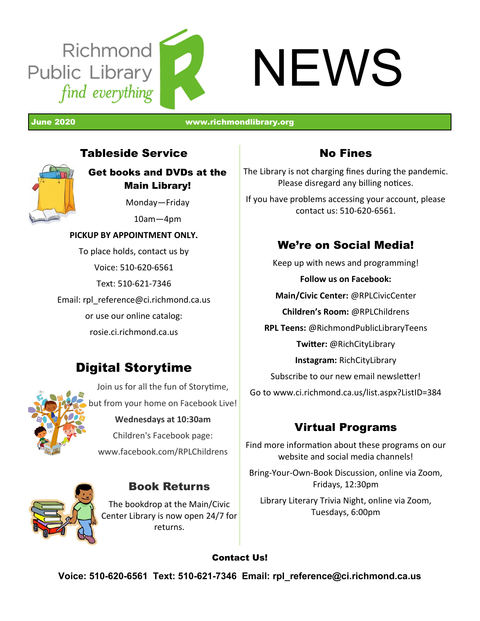

June 2020 www.richmondlibrary.org

### Tableside Service

### Get books and DVDs at the Main Library!

Monday—Friday

10am—4pm

### **PICKUP BY APPOINTMENT ONLY.**

To place holds, contact us by Voice: 510-620-6561 Text: 510-621-7346 Email: rpl\_reference@ci.richmond.ca.us or use our online catalog: <rosie.ci.richmond.ca.us>

# Digital Storytime



Join us for all the fun of Storytime, but from your home on Facebook Live! **Wednesdays at 10:30am**

Children's Facebook page: www.facebook.com/RPLChildrens

### Book Returns

The bookdrop at the Main/Civic Center Library is now open 24/7 for returns.

# No Fines

The Library is not charging fines during the pandemic. Please disregard any billing notices.

If you have problems accessing your account, please contact us: 510-620-6561.

# We're on Social Media!

Keep up with news and programming!

**Follow us on Facebook:** 

**Main/Civic Center:** [@RPLCivicCenter](www.facebook.com/RPLCivicCenter)

**Children's Room:** [@RPLChildrens](www.facebook.com/RPLChildrens)

**RPL Teens:** [@RichmondPublicLibraryTeens](https://www.facebook.com/RichmondPublicLibraryTeens/)

**Twitter:** [@RichCityLibrary](https://twitter.com/richcitylibrary/)

**Instagram:** [RichCityLibrary](https://www.instagram.com/richcitylibrary/)

Subscribe to our new email newsletter!

Go to www.ci.richmond.ca.us/list.aspx?ListID=384

# Virtual Programs

Find more information about these programs on our website and social media channels!

Bring-Your-Own-[Book Discussion, online via Zoom,](https://us02web.zoom.us/meeting/register/tZIqceisrD8sGdfP3DCf9FEGjRsHj75XNS0e)  Fridays, 12:30pm

[Library Literary Trivia Night, online via Zoom,](https://us02web.zoom.us/meeting/register/tZYlceqprzIpG9KtkS7EwR1r2kVUPrKZAUst)  Tuesdays, 6:00pm

### Contact Us!

**Voice: 510-620-6561 Text: 510-621-7346 Email: rpl\_reference@ci.richmond.ca.us**